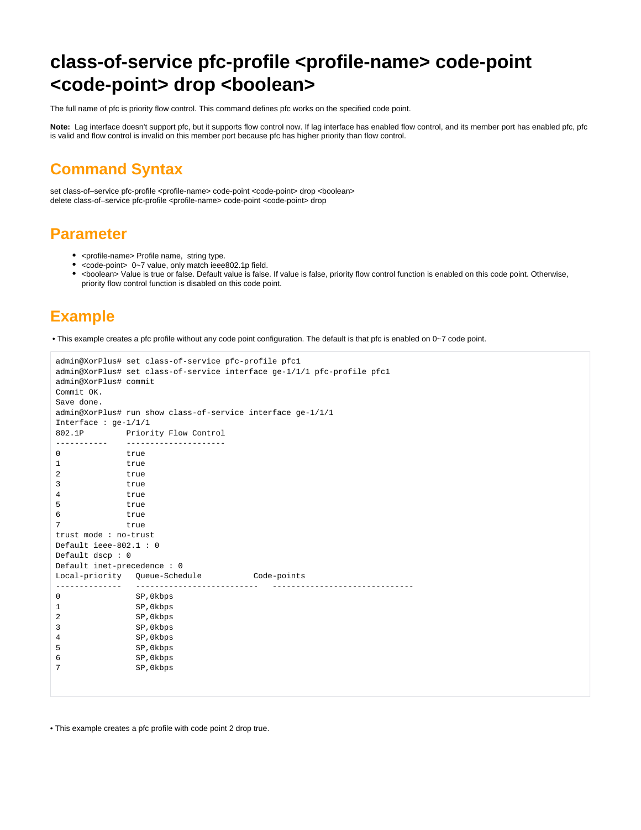## **class-of-service pfc-profile <profile-name> code-point <code-point> drop <boolean>**

The full name of pfc is priority flow control. This command defines pfc works on the specified code point.

**Note:** Lag interface doesn't support pfc, but it supports flow control now. If lag interface has enabled flow control, and its member port has enabled pfc, pfc is valid and flow control is invalid on this member port because pfc has higher priority than flow control.

## **Command Syntax**

set class-of-service pfc-profile <profile-name> code-point <code-point> drop <br/> <br/>boolean> delete class-of–service pfc-profile <profile-name> code-point <code-point> drop

## **Parameter**

- < profile-name> Profile name, string type.
- <code-point> 0~7 value, only match ieee802.1p field.
- <boolean> Value is true or false. Default value is false. If value is false, priority flow control function is enabled on this code point. Otherwise, priority flow control function is disabled on this code point.

## **Example**

• This example creates a pfc profile without any code point configuration. The default is that pfc is enabled on 0~7 code point.

```
admin@XorPlus# set class-of-service pfc-profile pfc1
admin@XorPlus# set class-of-service interface ge-1/1/1 pfc-profile pfc1
admin@XorPlus# commit
Commit OK.
Save done.
admin@XorPlus# run show class-of-service interface ge-1/1/1
Interface : ge-1/1/1
802.1P Priority Flow Control
----------- ---------------------
0 true
1 true 
2 true 
3 true 
4 true 
5 true 
6 true 
7 true 
trust mode : no-trust
Default ieee-802.1 : 0
Default dscp : 0
Default inet-precedence : 0
Local-priority Queue-Schedule Code-points
-------------- -------------------------- ------------------------------
0 SP,0kbps 
1 SP,0kbps 
2 SP,0kbps 
3 SP,0kbps 
4 SP,0kbps 
5 SP,0kbps 
6 SP,0kbps 
7 SP,0kbps
```
• This example creates a pfc profile with code point 2 drop true.